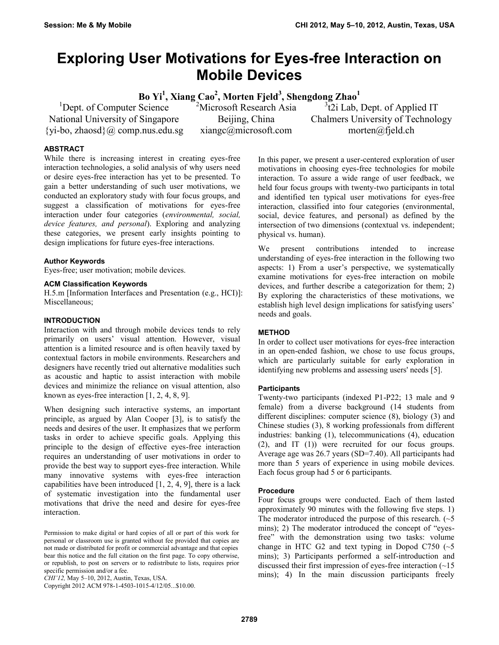# **Exploring User Motivations for Eyes-free Interaction on Mobile Devices**

**Bo Yi<sup>1</sup> , Xiang Cao<sup>2</sup> , Morten Fjeld<sup>3</sup> , Shengdong Zhao<sup>1</sup>**

<sup>1</sup>Dept. of Computer Science National University of Singapore  $\{yi-bo, zhaosd\}$  (*a*) comp.nus.edu.sg <sup>2</sup>Microsoft Research Asia Beijing, China xiangc@microsoft.com

<sup>3</sup>t2i Lab, Dept. of Applied IT Chalmers University of Technology morten@fjeld.ch

#### **ABSTRACT**

While there is increasing interest in creating eyes-free interaction technologies, a solid analysis of why users need or desire eyes-free interaction has yet to be presented. To gain a better understanding of such user motivations, we conducted an exploratory study with four focus groups, and suggest a classification of motivations for eyes-free interaction under four categories (*environmental, social, device features, and personal*). Exploring and analyzing these categories, we present early insights pointing to design implications for future eyes-free interactions.

#### **Author Keywords**

Eyes-free; user motivation; mobile devices.

#### **ACM Classification Keywords**

H.5.m [Information Interfaces and Presentation (e.g., HCI)]: Miscellaneous;

#### **INTRODUCTION**

Interaction with and through mobile devices tends to rely primarily on users' visual attention. However, visual attention is a limited resource and is often heavily taxed by contextual factors in mobile environments. Researchers and designers have recently tried out alternative modalities such as acoustic and haptic to assist interaction with mobile devices and minimize the reliance on visual attention, also known as eyes-free interaction [\[1,](#page-3-0) [2,](#page-3-1) [4,](#page-3-2) [8,](#page-3-3) [9\]](#page-3-4).

When designing such interactive systems, an important principle, as argued by Alan Cooper [3], is to satisfy the needs and desires of the user. It emphasizes that we perform tasks in order to achieve specific goals. Applying this principle to the design of effective eyes-free interaction requires an understanding of user motivations in order to provide the best way to support eyes-free interaction. While many innovative systems with eyes-free interaction capabilities have been introduced [\[1,](#page-3-0) [2,](#page-3-1) [4,](#page-3-2) [9\]](#page-3-4), there is a lack of systematic investigation into the fundamental user motivations that drive the need and desire for eyes-free interaction.

*CHI'12,* May 5–10, 2012, Austin, Texas, USA.

Copyright 2012 ACM 978-1-4503-1015-4/12/05...\$10.00.

In this paper, we present a user-centered exploration of user motivations in choosing eyes-free technologies for mobile interaction. To assure a wide range of user feedback, we held four focus groups with twenty-two participants in total and identified ten typical user motivations for eyes-free interaction, classified into four categories (environmental, social, device features, and personal) as defined by the intersection of two dimensions (contextual vs. independent; physical vs. human).

We present contributions intended to increase understanding of eyes-free interaction in the following two aspects: 1) From a user's perspective, we systematically examine motivations for eyes-free interaction on mobile devices, and further describe a categorization for them; 2) By exploring the characteristics of these motivations, we establish high level design implications for satisfying users' needs and goals.

#### **METHOD**

In order to collect user motivations for eyes-free interaction in an open-ended fashion, we chose to use focus groups, which are particularly suitable for early exploration in identifying new problems and assessing users' needs [\[5\]](#page-3-5).

#### **Participants**

Twenty-two participants (indexed P1-P22; 13 male and 9 female) from a diverse background (14 students from different disciplines: computer science (8), biology (3) and Chinese studies (3), 8 working professionals from different industries: banking (1), telecommunications (4), education (2), and IT (1)) were recruited for our focus groups. Average age was 26.7 years (SD=7.40). All participants had more than 5 years of experience in using mobile devices. Each focus group had 5 or 6 participants.

#### **Procedure**

Four focus groups were conducted. Each of them lasted approximately 90 minutes with the following five steps. 1) The moderator introduced the purpose of this research.  $($  $\sim$ 5 mins); 2) The moderator introduced the concept of "eyesfree" with the demonstration using two tasks: volume change in HTC G2 and text typing in Dopod C750  $($  $\sim$ 5 mins); 3) Participants performed a self-introduction and discussed their first impression of eyes-free interaction (~15 mins); 4) In the main discussion participants freely

Permission to make digital or hard copies of all or part of this work for personal or classroom use is granted without fee provided that copies are not made or distributed for profit or commercial advantage and that copies bear this notice and the full citation on the first page. To copy otherwise, or republish, to post on servers or to redistribute to lists, requires prior specific permission and/or a fee.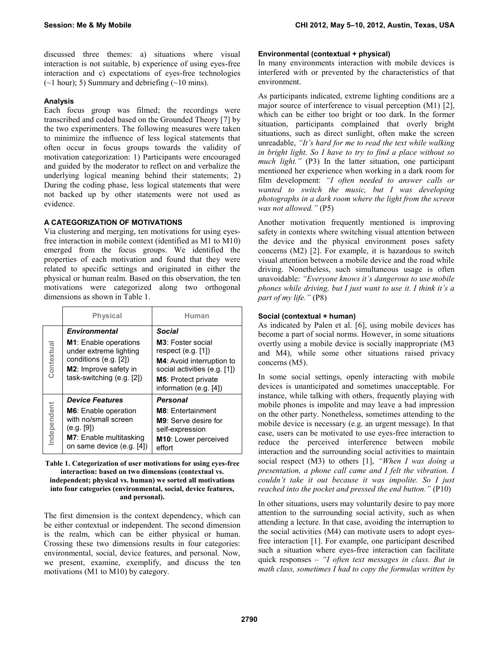discussed three themes: a) situations where visual interaction is not suitable, b) experience of using eyes-free interaction and c) expectations of eyes-free technologies  $(\sim)$  hour); 5) Summary and debriefing  $(\sim)10$  mins).

# **Analysis**

Each focus group was filmed; the recordings were transcribed and coded based on the Grounded Theory [\[7\]](#page-3-6) by the two experimenters. The following measures were taken to minimize the influence of less logical statements that often occur in focus groups towards the validity of motivation categorization: 1) Participants were encouraged and guided by the moderator to reflect on and verbalize the underlying logical meaning behind their statements; 2) During the coding phase, less logical statements that were not backed up by other statements were not used as evidence.

# **A CATEGORIZATION OF MOTIVATIONS**

Via clustering and merging, ten motivations for using eyesfree interaction in mobile context (identified as M1 to M10) emerged from the focus groups. We identified the properties of each motivation and found that they were related to specific settings and originated in either the physical or human realm. Based on this observation, the ten motivations were categorized along two orthogonal dimensions as shown in Table 1.

|            | <b>Physical</b>                                                                                                                                                 | Human                                                                                                                                                                    |
|------------|-----------------------------------------------------------------------------------------------------------------------------------------------------------------|--------------------------------------------------------------------------------------------------------------------------------------------------------------------------|
| Contextual | <b>Environmental</b><br><b>M1:</b> Enable operations<br>under extreme lighting<br>conditions (e.g. [2])<br>M2: Improve safety in<br>task-switching $(e.g. [2])$ | Social<br>M3: Foster social<br>respect $(e.g. [1])$<br>M4: Avoid interruption to<br>social activities (e.g. [1])<br><b>M5: Protect private</b><br>information (e.g. [4]) |
| ndependent | <b>Device Features</b>                                                                                                                                          | Personal<br><b>M8: Entertainment</b>                                                                                                                                     |
|            | <b>M6:</b> Enable operation<br>with no/small screen<br>(e.g. [9])<br>M7: Enable multitasking<br>on same device (e.g. [4])                                       | <b>M9</b> : Serve desire for<br>self-expression<br>M10: Lower perceived<br>effort                                                                                        |

#### **Table 1. Categorization of user motivations for using eyes-free interaction: based on two dimensions (contextual vs. independent; physical vs. human) we sorted all motivations into four categories (environmental, social, device features, and personal).**

The first dimension is the context dependency, which can be either contextual or independent. The second dimension is the realm, which can be either physical or human. Crossing these two dimensions results in four categories: environmental, social, device features, and personal. Now, we present, examine, exemplify, and discuss the ten motivations (M1 to M10) by category.

### **Environmental (contextual + physical)**

In many environments interaction with mobile devices is interfered with or prevented by the characteristics of that environment.

As participants indicated, extreme lighting conditions are a major source of interference to visual perception (M1) [\[2\]](#page-3-1). which can be either too bright or too dark. In the former situation, participants complained that overly bright situations, such as direct sunlight, often make the screen unreadable, *"It's hard for me to read the text while walking in bright light. So I have to try to find a place without so much light."* (P3) In the latter situation, one participant mentioned her experience when working in a dark room for film development: *"I often needed to answer calls or wanted to switch the music, but I was developing photographs in a dark room where the light from the screen was not allowed."* (P5)

Another motivation frequently mentioned is improving safety in contexts where switching visual attention between the device and the physical environment poses safety concerns (M2) [\[2\]](#page-3-1). For example, it is hazardous to switch visual attention between a mobile device and the road while driving. Nonetheless, such simultaneous usage is often unavoidable: *"Everyone knows it's dangerous to use mobile phones while driving, but I just want to use it. I think it's a part of my life."* (P8)

## **Social (contextual + human)**

As indicated by Palen et al. [\[6\]](#page-3-7), using mobile devices has become a part of social norms. However, in some situations overtly using a mobile device is socially inappropriate (M3 and M4), while some other situations raised privacy concerns (M5).

In some social settings, openly interacting with mobile devices is unanticipated and sometimes unacceptable. For instance, while talking with others, frequently playing with mobile phones is impolite and may leave a bad impression on the other party. Nonetheless, sometimes attending to the mobile device is necessary (e.g. an urgent message). In that case, users can be motivated to use eyes-free interaction to reduce the perceived interference between mobile interaction and the surrounding social activities to maintain social respect (M3) to others [\[1\]](#page-3-0), *"When I was doing a presentation, a phone call came and I felt the vibration. I couldn't take it out because it was impolite. So I just reached into the pocket and pressed the end button."* (P10)

In other situations, users may voluntarily desire to pay more attention to the surrounding social activity, such as when attending a lecture. In that case, avoiding the interruption to the social activities (M4) can motivate users to adopt eyesfree interaction [\[1\]](#page-3-0). For example, one participant described such a situation where eyes-free interaction can facilitate quick responses – *"I often text messages in class. But in math class, sometimes I had to copy the formulas written by*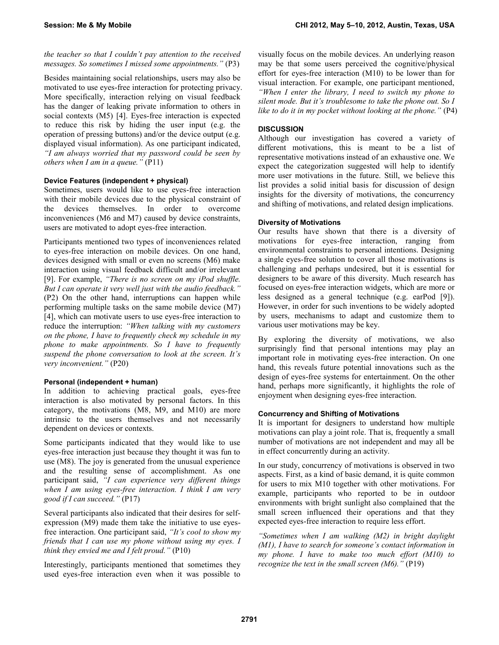*the teacher so that I couldn't pay attention to the received messages. So sometimes I missed some appointments."* (P3)

Besides maintaining social relationships, users may also be motivated to use eyes-free interaction for protecting privacy. More specifically, interaction relying on visual feedback has the danger of leaking private information to others in social contexts (M5) [\[4\]](#page-3-2). Eyes-free interaction is expected to reduce this risk by hiding the user input (e.g. the operation of pressing buttons) and/or the device output (e.g. displayed visual information). As one participant indicated, *"I am always worried that my password could be seen by others when I am in a queue."* (P11)

## **Device Features (independent + physical)**

Sometimes, users would like to use eyes-free interaction with their mobile devices due to the physical constraint of the devices themselves. In order to overcome inconveniences (M6 and M7) caused by device constraints, users are motivated to adopt eyes-free interaction.

Participants mentioned two types of inconveniences related to eyes-free interaction on mobile devices. On one hand, devices designed with small or even no screens (M6) make interaction using visual feedback difficult and/or irrelevant [\[9\]](#page-3-4). For example, *"There is no screen on my iPod shuffle. But I can operate it very well just with the audio feedback."* (P2) On the other hand, interruptions can happen while performing multiple tasks on the same mobile device (M7) [\[4\]](#page-3-2), which can motivate users to use eyes-free interaction to reduce the interruption: *"When talking with my customers on the phone, I have to frequently check my schedule in my phone to make appointments. So I have to frequently suspend the phone conversation to look at the screen. It's very inconvenient."* (P20)

# **Personal (independent + human)**

In addition to achieving practical goals, eyes-free interaction is also motivated by personal factors. In this category, the motivations (M8, M9, and M10) are more intrinsic to the users themselves and not necessarily dependent on devices or contexts.

Some participants indicated that they would like to use eyes-free interaction just because they thought it was fun to use (M8). The joy is generated from the unusual experience and the resulting sense of accomplishment. As one participant said, *"I can experience very different things when I am using eyes-free interaction. I think I am very good if I can succeed."* (P17)

Several participants also indicated that their desires for selfexpression (M9) made them take the initiative to use eyesfree interaction. One participant said, *"It's cool to show my friends that I can use my phone without using my eyes. I think they envied me and I felt proud."* (P10)

Interestingly, participants mentioned that sometimes they used eyes-free interaction even when it was possible to

visually focus on the mobile devices. An underlying reason may be that some users perceived the cognitive/physical effort for eyes-free interaction (M10) to be lower than for visual interaction. For example, one participant mentioned, *"When I enter the library, I need to switch my phone to silent mode. But it's troublesome to take the phone out. So I like to do it in my pocket without looking at the phone."* (P4)

# **DISCUSSION**

Although our investigation has covered a variety of different motivations, this is meant to be a list of representative motivations instead of an exhaustive one. We expect the categorization suggested will help to identify more user motivations in the future. Still, we believe this list provides a solid initial basis for discussion of design insights for the diversity of motivations, the concurrency and shifting of motivations, and related design implications.

## **Diversity of Motivations**

Our results have shown that there is a diversity of motivations for eyes-free interaction, ranging from environmental constraints to personal intentions. Designing a single eyes-free solution to cover all those motivations is challenging and perhaps undesired, but it is essential for designers to be aware of this diversity. Much research has focused on eyes-free interaction widgets, which are more or less designed as a general technique (e.g. earPod [\[9\]](#page-3-4)). However, in order for such inventions to be widely adopted by users, mechanisms to adapt and customize them to various user motivations may be key.

By exploring the diversity of motivations, we also surprisingly find that personal intentions may play an important role in motivating eyes-free interaction. On one hand, this reveals future potential innovations such as the design of eyes-free systems for entertainment. On the other hand, perhaps more significantly, it highlights the role of enjoyment when designing eyes-free interaction.

#### **Concurrency and Shifting of Motivations**

It is important for designers to understand how multiple motivations can play a joint role. That is, frequently a small number of motivations are not independent and may all be in effect concurrently during an activity.

In our study, concurrency of motivations is observed in two aspects. First, as a kind of basic demand, it is quite common for users to mix M10 together with other motivations. For example, participants who reported to be in outdoor environments with bright sunlight also complained that the small screen influenced their operations and that they expected eyes-free interaction to require less effort.

*"Sometimes when I am walking (M2) in bright daylight (M1), I have to search for someone's contact information in my phone. I have to make too much effort (M10) to recognize the text in the small screen (M6)."* (P19)